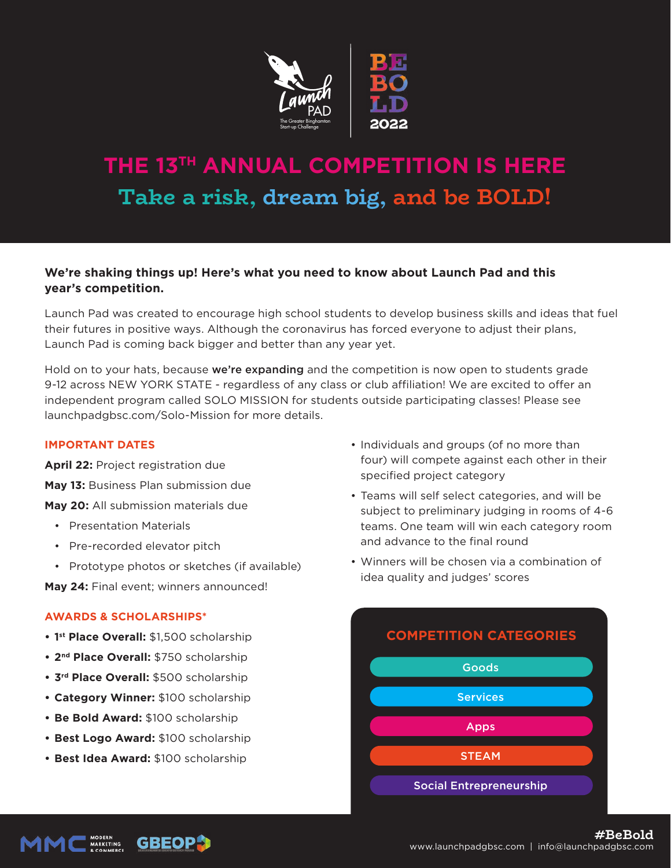

# **THE 13TH ANNUAL COMPETITION IS HERE Take a risk, dream big, and be BOLD!**

## **We're shaking things up! Here's what you need to know about Launch Pad and this year's competition.**

Launch Pad was created to encourage high school students to develop business skills and ideas that fuel their futures in positive ways. Although the coronavirus has forced everyone to adjust their plans, Launch Pad is coming back bigger and better than any year yet.

Hold on to your hats, because **we're expanding** and the competition is now open to students grade 9-12 across NEW YORK STATE - regardless of any class or club affiliation! We are excited to offer an independent program called SOLO MISSION for students outside participating classes! Please see launchpadgbsc.com/Solo-Mission for more details.

#### **IMPORTANT DATES**

**April 22:** Project registration due

**May 13:** Business Plan submission due

**May 20:** All submission materials due

- Presentation Materials
- Pre-recorded elevator pitch
- Prototype photos or sketches (if available)

**May 24:** Final event; winners announced!

### **AWARDS & SCHOLARSHIPS\***

- **1st Place Overall:** \$1,500 scholarship
- **2nd Place Overall:** \$750 scholarship
- **3rd Place Overall:** \$500 scholarship
- **Category Winner:** \$100 scholarship
- **Be Bold Award:** \$100 scholarship
- **Best Logo Award:** \$100 scholarship
- **Best Idea Award:** \$100 scholarship
- Individuals and groups (of no more than four) will compete against each other in their specified project category
- Teams will self select categories, and will be subject to preliminary judging in rooms of 4-6 teams. One team will win each category room and advance to the final round
- Winners will be chosen via a combination of idea quality and judges' scores



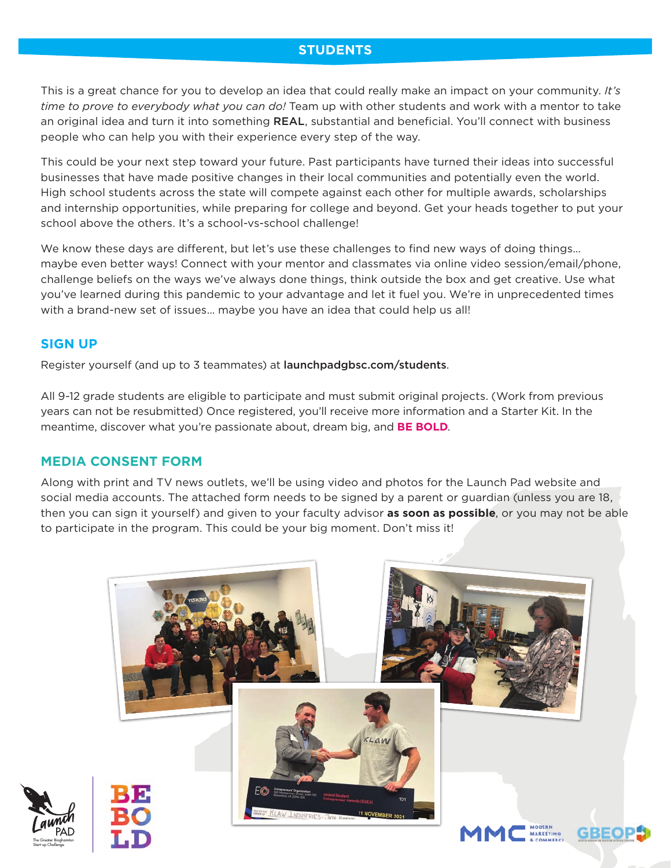## **STUDENTS**

This is a great chance for you to develop an idea that could really make an impact on your community. *It's time to prove to everybody what you can do!* Team up with other students and work with a mentor to take an original idea and turn it into something REAL, substantial and beneficial. You'll connect with business people who can help you with their experience every step of the way.

This could be your next step toward your future. Past participants have turned their ideas into successful businesses that have made positive changes in their local communities and potentially even the world. High school students across the state will compete against each other for multiple awards, scholarships and internship opportunities, while preparing for college and beyond. Get your heads together to put your school above the others. It's a school-vs-school challenge!

We know these days are different, but let's use these challenges to find new ways of doing things... maybe even better ways! Connect with your mentor and classmates via online video session/email/phone, challenge beliefs on the ways we've always done things, think outside the box and get creative. Use what you've learned during this pandemic to your advantage and let it fuel you. We're in unprecedented times with a brand-new set of issues… maybe you have an idea that could help us all!

### **SIGN UP**

Register yourself (and up to 3 teammates) at launchpadgbsc.com/students.

All 9-12 grade students are eligible to participate and must submit original projects. (Work from previous years can not be resubmitted) Once registered, you'll receive more information and a Starter Kit. In the meantime, discover what you're passionate about, dream big, and **BE BOLD**.

### **MEDIA CONSENT FORM**

Along with print and TV news outlets, we'll be using video and photos for the Launch Pad website and social media accounts. The attached form needs to be signed by a parent or guardian (unless you are 18, then you can sign it yourself) and given to your faculty advisor **as soon as possible**, or you may not be able to participate in the program. This could be your big moment. Don't miss it!

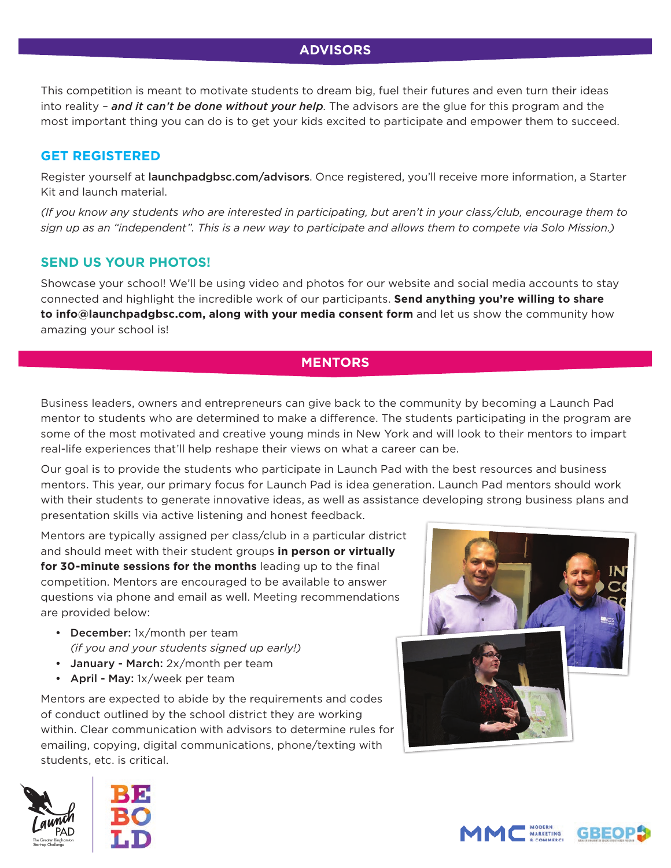## **ADVISORS**

This competition is meant to motivate students to dream big, fuel their futures and even turn their ideas into reality – *and it can't be done without your help*. The advisors are the glue for this program and the most important thing you can do is to get your kids excited to participate and empower them to succeed.

## **GET REGISTERED**

Register yourself at **launchpadgbsc.com/advisors**. Once registered, you'll receive more information, a Starter Kit and launch material.

*(If you know any students who are interested in participating, but aren't in your class/club, encourage them to sign up as an "independent". This is a new way to participate and allows them to compete via Solo Mission.)*

## **SEND US YOUR PHOTOS!**

Showcase your school! We'll be using video and photos for our website and social media accounts to stay connected and highlight the incredible work of our participants. **Send anything you're willing to share to info@launchpadgbsc.com, along with your media consent form** and let us show the community how amazing your school is!

## **MENTORS**

Business leaders, owners and entrepreneurs can give back to the community by becoming a Launch Pad mentor to students who are determined to make a difference. The students participating in the program are some of the most motivated and creative young minds in New York and will look to their mentors to impart real-life experiences that'll help reshape their views on what a career can be.

Our goal is to provide the students who participate in Launch Pad with the best resources and business mentors. This year, our primary focus for Launch Pad is idea generation. Launch Pad mentors should work with their students to generate innovative ideas, as well as assistance developing strong business plans and presentation skills via active listening and honest feedback.

Mentors are typically assigned per class/club in a particular district and should meet with their student groups **in person or virtually**  for 30-minute sessions for the months leading up to the final competition. Mentors are encouraged to be available to answer questions via phone and email as well. Meeting recommendations are provided below:

- December: 1x/month per team  *(if you and your students signed up early!)*
- January March: 2x/month per team
- April May: 1x/week per team

Mentors are expected to abide by the requirements and codes of conduct outlined by the school district they are working within. Clear communication with advisors to determine rules for emailing, copying, digital communications, phone/texting with students, etc. is critical.









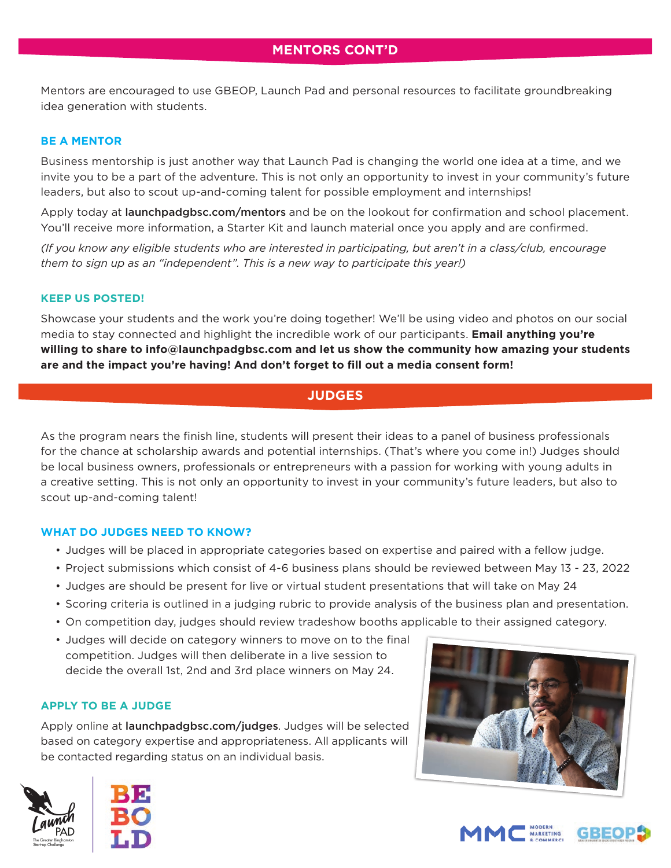Mentors are encouraged to use GBEOP, Launch Pad and personal resources to facilitate groundbreaking idea generation with students.

#### **BE A MENTOR**

Business mentorship is just another way that Launch Pad is changing the world one idea at a time, and we invite you to be a part of the adventure. This is not only an opportunity to invest in your community's future leaders, but also to scout up-and-coming talent for possible employment and internships!

Apply today at launchpadgbsc.com/mentors and be on the lookout for confirmation and school placement. You'll receive more information, a Starter Kit and launch material once you apply and are confirmed.

*(If you know any eligible students who are interested in participating, but aren't in a class/club, encourage them to sign up as an "independent". This is a new way to participate this year!)*

#### **KEEP US POSTED!**

Showcase your students and the work you're doing together! We'll be using video and photos on our social media to stay connected and highlight the incredible work of our participants. **Email anything you're willing to share to info@launchpadgbsc.com and let us show the community how amazing your students**  are and the impact you're having! And don't forget to fill out a media consent form!

## **JUDGES**

As the program nears the finish line, students will present their ideas to a panel of business professionals for the chance at scholarship awards and potential internships. (That's where you come in!) Judges should be local business owners, professionals or entrepreneurs with a passion for working with young adults in a creative setting. This is not only an opportunity to invest in your community's future leaders, but also to scout up-and-coming talent!

#### **WHAT DO JUDGES NEED TO KNOW?**

- Judges will be placed in appropriate categories based on expertise and paired with a fellow judge.
- Project submissions which consist of 4-6 business plans should be reviewed between May 13 23, 2022
- Judges are should be present for live or virtual student presentations that will take on May 24
- Scoring criteria is outlined in a judging rubric to provide analysis of the business plan and presentation.
- On competition day, judges should review tradeshow booths applicable to their assigned category.
- Judges will decide on category winners to move on to the final competition. Judges will then deliberate in a live session to decide the overall 1st, 2nd and 3rd place winners on May 24.

#### **APPLY TO BE A JUDGE**

Apply online at launchpadgbsc.com/judges. Judges will be selected based on category expertise and appropriateness. All applicants will be contacted regarding status on an individual basis.